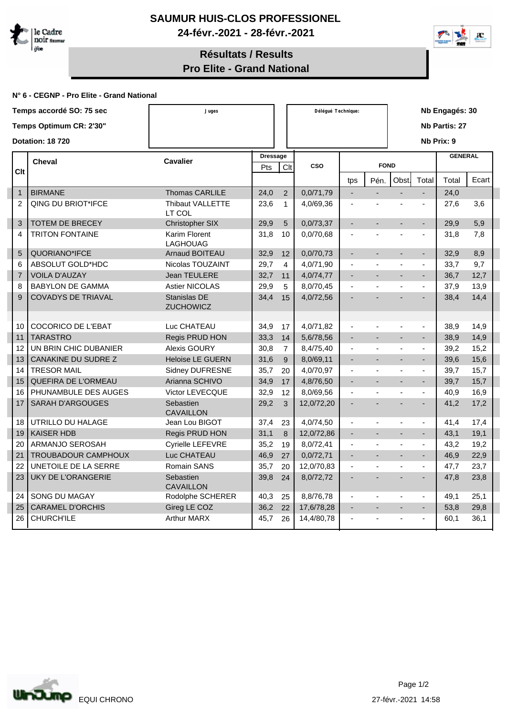

## **SAUMUR HUIS-CLOS PROFESSIONEL 24-févr.-2021 - 28-févr.-2021**



## **Résultats / Results Pro Elite - Grand National**

## **N° 6 - CEGNP - Pro Elite - Grand National**

| Temps accordé SO: 75 sec |                |                            | Juges                             |                 |                | Délégué Technique: | Nb Engagés: 30           |                |                          |                             |                |       |
|--------------------------|----------------|----------------------------|-----------------------------------|-----------------|----------------|--------------------|--------------------------|----------------|--------------------------|-----------------------------|----------------|-------|
| Temps Optimum CR: 2'30"  |                |                            |                                   |                 |                |                    | Nb Partis: 27            |                |                          |                             |                |       |
|                          |                | Dotation: 18 720           |                                   |                 |                |                    | Nb Prix: 9               |                |                          |                             |                |       |
|                          |                | <b>Cheval</b>              | <b>Cavalier</b>                   | <b>Dressage</b> |                |                    |                          |                |                          |                             | <b>GENERAL</b> |       |
|                          | Clt            |                            |                                   | Pts             | Clt            | CSO                |                          | <b>FOND</b>    |                          |                             |                |       |
|                          |                |                            |                                   |                 |                |                    | tps                      | Pén.           | Obst.                    | Total                       | Total          | Ecart |
|                          | $\mathbf{1}$   | <b>BIRMANE</b>             | <b>Thomas CARLILE</b>             | 24,0            | $\overline{2}$ | 0,0/71,79          | $\overline{\phantom{a}}$ | $\overline{a}$ | L.                       | L.                          | 24,0           |       |
|                          | $\overline{2}$ | <b>QING DU BRIOT*IFCE</b>  | <b>Thibaut VALLETTE</b><br>LT COL | 23,6            | $\mathbf{1}$   | 4,0/69,36          |                          |                |                          | $\blacksquare$              | 27,6           | 3,6   |
|                          | 3              | <b>TOTEM DE BRECEY</b>     | Christopher SIX                   | 29,9            | 5              | 0,0/73,37          | $\blacksquare$           | $\overline{a}$ | $\blacksquare$           | $\blacksquare$              | 29,9           | 5,9   |
|                          | 4              | <b>TRITON FONTAINE</b>     | Karim Florent<br><b>LAGHOUAG</b>  | 31,8            | 10             | 0,0/70,68          |                          |                |                          | $\overline{a}$              | 31,8           | 7,8   |
|                          | 5              | QUORIANO*IFCE              | <b>Arnaud BOITEAU</b>             | 32,9            | 12             | 0,0/70,73          | $\overline{\phantom{a}}$ |                | $\overline{\phantom{a}}$ | $\overline{\phantom{a}}$    | 32,9           | 8,9   |
|                          | 6              | <b>ABSOLUT GOLD*HDC</b>    | Nicolas TOUZAINT                  | 29,7            | $\overline{4}$ | 4,0/71,90          | $\blacksquare$           |                | $\overline{\phantom{a}}$ | $\overline{\phantom{a}}$    | 33,7           | 9,7   |
|                          | $\overline{7}$ | <b>VOILA D'AUZAY</b>       | <b>Jean TEULERE</b>               | 32,7            | 11             | 4,0/74,77          | $\blacksquare$           |                |                          | $\blacksquare$              | 36,7           | 12,7  |
|                          | 8              | <b>BABYLON DE GAMMA</b>    | <b>Astier NICOLAS</b>             | 29,9            | 5              | 8,0/70,45          | ÷,                       |                |                          | $\blacksquare$              | 37,9           | 13,9  |
|                          | 9              | <b>COVADYS DE TRIAVAL</b>  | Stanislas DE<br><b>ZUCHOWICZ</b>  | 34,4            | 15             | 4,0/72,56          |                          |                |                          |                             | 38,4           | 14,4  |
|                          |                |                            |                                   |                 |                |                    |                          |                |                          |                             |                |       |
|                          | 10             | <b>COCORICO DE L'EBAT</b>  | Luc CHATEAU                       | 34,9            | 17             | 4,0/71,82          |                          |                |                          | $\blacksquare$              | 38,9           | 14,9  |
|                          | 11             | <b>TARASTRO</b>            | Regis PRUD HON                    | 33,3            | 14             | 5,6/78,56          |                          |                |                          | $\blacksquare$              | 38,9           | 14,9  |
|                          | 12             | UN BRIN CHIC DUBANIER      | <b>Alexis GOURY</b>               | 30,8            | $\overline{7}$ | 8,4/75,40          | $\blacksquare$           | $\overline{a}$ | $\overline{a}$           | $\blacksquare$              | 39,2           | 15,2  |
|                          | 13             | CANAKINE DU SUDRE Z        | <b>Heloise LE GUERN</b>           | 31,6            | 9              | 8,0/69,11          | $\sim$                   | $\overline{a}$ | $\blacksquare$           | $\sim$                      | 39,6           | 15,6  |
|                          | 14             | <b>TRESOR MAIL</b>         | Sidney DUFRESNE                   | 35,7            | 20             | 4,0/70,97          | $\blacksquare$           | $\overline{a}$ | $\overline{a}$           | $\blacksquare$              | 39,7           | 15,7  |
|                          | 15             | <b>QUEFIRA DE L'ORMEAU</b> | Arianna SCHIVO                    | 34,9            | 17             | 4,8/76,50          | $\overline{a}$           | $\overline{a}$ | $\overline{a}$           | $\mathcal{L}_{\mathcal{A}}$ | 39,7           | 15,7  |
|                          | 16             | PHUNAMBULE DES AUGES       | Victor LEVECQUE                   | 32,9            | 12             | 8,0/69,56          | ÷,                       | ÷,             | $\blacksquare$           | $\mathbf{r}$                | 40,9           | 16,9  |
|                          | 17             | <b>SARAH D'ARGOUGES</b>    | Sebastien<br><b>CAVAILLON</b>     | 29,2            | 3              | 12,0/72,20         | $\overline{\phantom{a}}$ | $\overline{a}$ |                          | $\blacksquare$              | 41,2           | 17,2  |
|                          | 18             | UTRILLO DU HALAGE          | Jean Lou BIGOT                    | 37,4            | 23             | 4,0/74,50          | $\blacksquare$           |                |                          | $\blacksquare$              | 41,4           | 17,4  |
|                          | 19             | <b>KAISER HDB</b>          | Regis PRUD HON                    | 31,1            | 8              | 12,0/72,86         | $\blacksquare$           | $\overline{a}$ | $\blacksquare$           | $\sim$                      | 43,1           | 19,1  |
|                          | 20             | ARMANJO SEROSAH            | Cyrielle LEFEVRE                  | 35,2            | 19             | 8,0/72,41          | $\blacksquare$           | L.             | $\overline{a}$           | L.                          | 43,2           | 19,2  |
|                          | 21             | TROUBADOUR CAMPHOUX        | Luc CHATEAU                       | 46,9            | 27             | 0,0/72,71          | $\blacksquare$           | $\overline{a}$ | $\blacksquare$           | $\mathcal{L}^{\mathcal{L}}$ | 46,9           | 22,9  |
|                          | 22             | UNETOILE DE LA SERRE       | Romain SANS                       | 35,7            | 20             | 12,0/70,83         | $\blacksquare$           | ÷,             | $\overline{\phantom{a}}$ | $\blacksquare$              | 47,7           | 23,7  |
|                          | 23             | <b>UKY DE L'ORANGERIE</b>  | Sebastien<br><b>CAVAILLON</b>     | 39,8            | 24             | 8,0/72,72          |                          |                |                          | $\blacksquare$              | 47,8           | 23,8  |
|                          | 24             | SONG DU MAGAY              | Rodolphe SCHERER                  | 40,3            | 25             | 8,8/76,78          | $\blacksquare$           | $\blacksquare$ |                          | $\blacksquare$              | 49,1           | 25,1  |
|                          | 25             | <b>CARAMEL D'ORCHIS</b>    | Gireg LE COZ                      | 36,2            | 22             | 17,6/78,28         |                          |                |                          | $\blacksquare$              | 53,8           | 29,8  |
|                          | 26             | <b>CHURCH'ILE</b>          | <b>Arthur MARX</b>                | 45,7            | 26             | 14,4/80,78         |                          |                |                          | $\sim$                      | 60,1           | 36,1  |